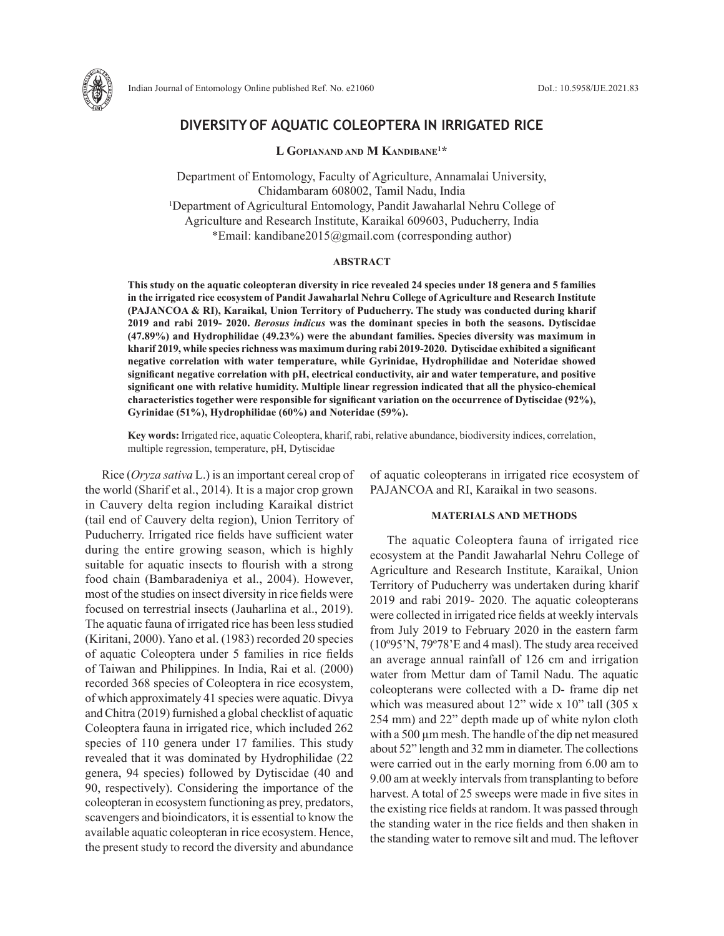

# **DIVERSITY OF AQUATIC COLEOPTERA IN IRRIGATED RICE**

**L Gopianand and M Kandibane1 \***

Department of Entomology, Faculty of Agriculture, Annamalai University, Chidambaram 608002, Tamil Nadu, India 1 Department of Agricultural Entomology, Pandit Jawaharlal Nehru College of Agriculture and Research Institute, Karaikal 609603, Puducherry, India \*Email: kandibane2015@gmail.com (corresponding author)

### **ABSTRACT**

**This study on the aquatic coleopteran diversity in rice revealed 24 species under 18 genera and 5 families in the irrigated rice ecosystem of Pandit Jawaharlal Nehru College of Agriculture and Research Institute (PAJANCOA & RI), Karaikal, Union Territory of Puducherry. The study was conducted during kharif 2019 and rabi 2019- 2020.** *Berosus indicus* **was the dominant species in both the seasons. Dytiscidae (47.89%) and Hydrophilidae (49.23%) were the abundant families. Species diversity was maximum in kharif 2019, while species richness was maximum during rabi 2019-2020. Dytiscidae exhibited a significant negative correlation with water temperature, while Gyrinidae, Hydrophilidae and Noteridae showed significant negative correlation with pH, electrical conductivity, air and water temperature, and positive significant one with relative humidity. Multiple linear regression indicated that all the physico-chemical characteristics together were responsible for significant variation on the occurrence of Dytiscidae (92%), Gyrinidae (51%), Hydrophilidae (60%) and Noteridae (59%).**

**Key words:** Irrigated rice, aquatic Coleoptera, kharif, rabi, relative abundance, biodiversity indices, correlation, multiple regression, temperature, pH, Dytiscidae

Rice (*Oryza sativa* L.) is an important cereal crop of the world (Sharif et al., 2014). It is a major crop grown in Cauvery delta region including Karaikal district (tail end of Cauvery delta region), Union Territory of Puducherry. Irrigated rice fields have sufficient water during the entire growing season, which is highly suitable for aquatic insects to flourish with a strong food chain (Bambaradeniya et al., 2004). However, most of the studies on insect diversity in rice fields were focused on terrestrial insects (Jauharlina et al., 2019). The aquatic fauna of irrigated rice has been less studied (Kiritani, 2000). Yano et al. (1983) recorded 20 species of aquatic Coleoptera under 5 families in rice fields of Taiwan and Philippines. In India, Rai et al. (2000) recorded 368 species of Coleoptera in rice ecosystem, of which approximately 41 species were aquatic. Divya and Chitra (2019) furnished a global checklist of aquatic Coleoptera fauna in irrigated rice, which included 262 species of 110 genera under 17 families. This study revealed that it was dominated by Hydrophilidae (22 genera, 94 species) followed by Dytiscidae (40 and 90, respectively). Considering the importance of the coleopteran in ecosystem functioning as prey, predators, scavengers and bioindicators, it is essential to know the available aquatic coleopteran in rice ecosystem. Hence, the present study to record the diversity and abundance

of aquatic coleopterans in irrigated rice ecosystem of PAJANCOA and RI, Karaikal in two seasons.

## **MATERIALS AND METHODS**

The aquatic Coleoptera fauna of irrigated rice ecosystem at the Pandit Jawaharlal Nehru College of Agriculture and Research Institute, Karaikal, Union Territory of Puducherry was undertaken during kharif 2019 and rabi 2019- 2020. The aquatic coleopterans were collected in irrigated rice fields at weekly intervals from July 2019 to February 2020 in the eastern farm (10º95'N, 79º78'E and 4 masl). The study area received an average annual rainfall of 126 cm and irrigation water from Mettur dam of Tamil Nadu. The aquatic coleopterans were collected with a D- frame dip net which was measured about 12" wide x 10" tall (305 x 254 mm) and 22" depth made up of white nylon cloth with a 500  $\mu$ m mesh. The handle of the dip net measured about 52" length and 32 mm in diameter. The collections were carried out in the early morning from 6.00 am to 9.00 am at weekly intervals from transplanting to before harvest. A total of 25 sweeps were made in five sites in the existing rice fields at random. It was passed through the standing water in the rice fields and then shaken in the standing water to remove silt and mud. The leftover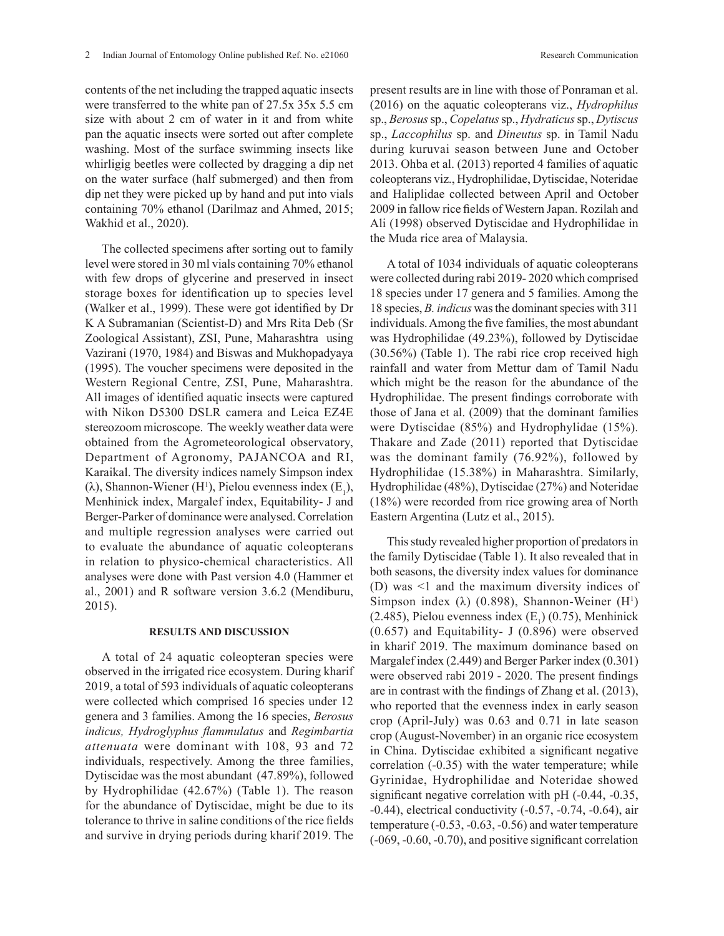contents of the net including the trapped aquatic insects were transferred to the white pan of 27.5x 35x 5.5 cm size with about 2 cm of water in it and from white pan the aquatic insects were sorted out after complete washing. Most of the surface swimming insects like whirligig beetles were collected by dragging a dip net on the water surface (half submerged) and then from dip net they were picked up by hand and put into vials containing 70% ethanol (Darilmaz and Ahmed, 2015; Wakhid et al., 2020).

The collected specimens after sorting out to family level were stored in 30 ml vials containing 70% ethanol with few drops of glycerine and preserved in insect storage boxes for identification up to species level (Walker et al., 1999). These were got identified by Dr K A Subramanian (Scientist-D) and Mrs Rita Deb (Sr Zoological Assistant), ZSI, Pune, Maharashtra using Vazirani (1970, 1984) and Biswas and Mukhopadyaya (1995). The voucher specimens were deposited in the Western Regional Centre, ZSI, Pune, Maharashtra. All images of identified aquatic insects were captured with Nikon D5300 DSLR camera and Leica EZ4E stereozoom microscope. The weekly weather data were obtained from the Agrometeorological observatory, Department of Agronomy, PAJANCOA and RI, Karaikal. The diversity indices namely Simpson index ( $\lambda$ ), Shannon-Wiener (H<sup>1</sup>), Pielou evenness index (E<sub>1</sub>), Menhinick index, Margalef index, Equitability- J and Berger-Parker of dominance were analysed. Correlation and multiple regression analyses were carried out to evaluate the abundance of aquatic coleopterans in relation to physico-chemical characteristics. All analyses were done with Past version 4.0 (Hammer et al., 2001) and R software version 3.6.2 (Mendiburu, 2015).

#### **RESULTS AND DISCUSSION**

A total of 24 aquatic coleopteran species were observed in the irrigated rice ecosystem. During kharif 2019, a total of 593 individuals of aquatic coleopterans were collected which comprised 16 species under 12 genera and 3 families. Among the 16 species, *Berosus indicus, Hydroglyphus flammulatus* and *Regimbartia attenuata* were dominant with 108, 93 and 72 individuals, respectively. Among the three families, Dytiscidae was the most abundant (47.89%), followed by Hydrophilidae (42.67%) (Table 1). The reason for the abundance of Dytiscidae, might be due to its tolerance to thrive in saline conditions of the rice fields and survive in drying periods during kharif 2019. The

present results are in line with those of Ponraman et al. (2016) on the aquatic coleopterans viz., *Hydrophilus*  sp., *Berosus* sp., *Copelatus* sp., *Hydraticus* sp., *Dytiscus*  sp., *Laccophilus* sp. and *Dineutus* sp. in Tamil Nadu during kuruvai season between June and October 2013. Ohba et al. (2013) reported 4 families of aquatic coleopterans viz., Hydrophilidae, Dytiscidae, Noteridae and Haliplidae collected between April and October 2009 in fallow rice fields of Western Japan. Rozilah and Ali (1998) observed Dytiscidae and Hydrophilidae in the Muda rice area of Malaysia.

A total of 1034 individuals of aquatic coleopterans were collected during rabi 2019- 2020 which comprised 18 species under 17 genera and 5 families. Among the 18 species, *B. indicus* was the dominant species with 311 individuals. Among the five families, the most abundant was Hydrophilidae (49.23%), followed by Dytiscidae (30.56%) (Table 1). The rabi rice crop received high rainfall and water from Mettur dam of Tamil Nadu which might be the reason for the abundance of the Hydrophilidae. The present findings corroborate with those of Jana et al. (2009) that the dominant families were Dytiscidae (85%) and Hydrophylidae (15%). Thakare and Zade (2011) reported that Dytiscidae was the dominant family (76.92%), followed by Hydrophilidae (15.38%) in Maharashtra. Similarly, Hydrophilidae (48%), Dytiscidae (27%) and Noteridae (18%) were recorded from rice growing area of North Eastern Argentina (Lutz et al., 2015).

This study revealed higher proportion of predators in the family Dytiscidae (Table 1). It also revealed that in both seasons, the diversity index values for dominance (D) was <1 and the maximum diversity indices of Simpson index ( $\lambda$ ) (0.898), Shannon-Weiner (H<sup>1</sup>)  $(2.485)$ , Pielou evenness index  $(E_1)$  (0.75), Menhinick (0.657) and Equitability- J (0.896) were observed in kharif 2019. The maximum dominance based on Margalef index (2.449) and Berger Parker index (0.301) were observed rabi 2019 - 2020. The present findings are in contrast with the findings of Zhang et al. (2013), who reported that the evenness index in early season crop (April-July) was 0.63 and 0.71 in late season crop (August-November) in an organic rice ecosystem in China. Dytiscidae exhibited a significant negative correlation (-0.35) with the water temperature; while Gyrinidae, Hydrophilidae and Noteridae showed significant negative correlation with pH (-0.44, -0.35, -0.44), electrical conductivity (-0.57, -0.74, -0.64), air temperature (-0.53, -0.63, -0.56) and water temperature (-069, -0.60, -0.70), and positive significant correlation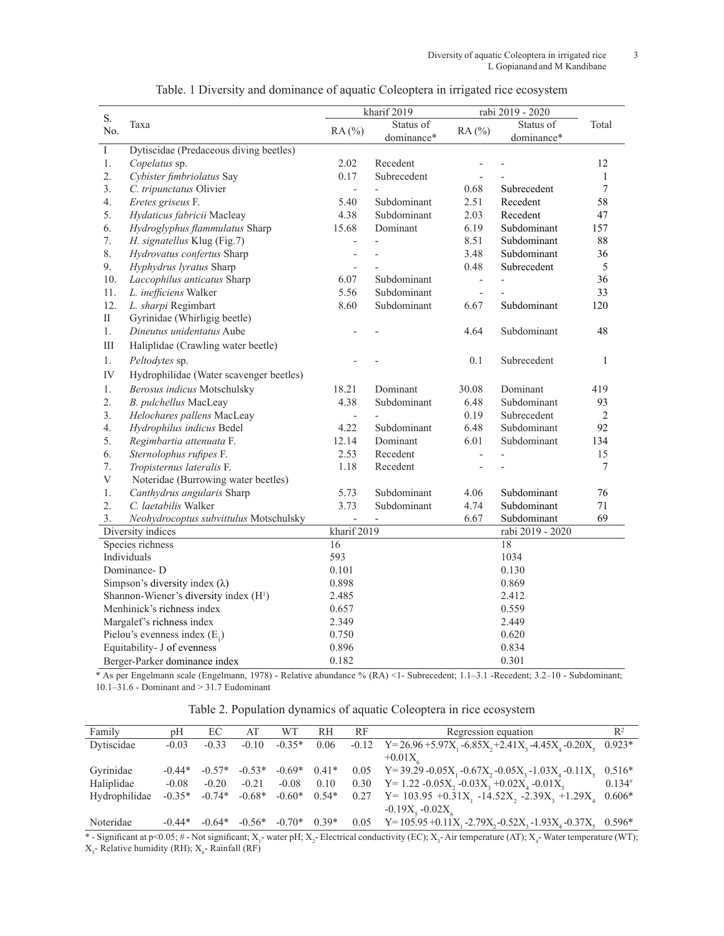|                                       |                                                    |                          | kharif 2019 | rabi 2019 - 2020 |                  |        |
|---------------------------------------|----------------------------------------------------|--------------------------|-------------|------------------|------------------|--------|
| ${\bf S}.$<br>No.                     | Taxa                                               | RA(%)                    | Status of   |                  | Status of        | Total  |
|                                       |                                                    |                          | dominance*  | RA(%)            | dominance*       |        |
| $\rm I$                               | Dytiscidae (Predaceous diving beetles)             |                          |             |                  |                  |        |
| 1.                                    | Copelatus sp.                                      | 2.02                     | Recedent    |                  |                  | 12     |
| 2.                                    | Cybister fimbriolatus Say                          | 0.17                     | Subrecedent | $\overline{a}$   |                  | 1      |
| 3.                                    | C. tripunctatus Olivier                            | $\overline{\phantom{a}}$ |             | 0.68             | Subrecedent      | $\tau$ |
| 4.                                    | Eretes griseus F.                                  | 5.40                     | Subdominant | 2.51             | Recedent         | 58     |
| 5.                                    | Hydaticus fabricii Macleay                         | 4.38                     | Subdominant | 2.03             | Recedent         | 47     |
| 6.                                    | Hydroglyphus flammulatus Sharp                     | 15.68                    | Dominant    | 6.19             | Subdominant      | 157    |
| 7.                                    | H. signatellus Klug (Fig.7)                        | $\overline{\phantom{0}}$ |             | 8.51             | Subdominant      | 88     |
| 8.                                    | Hydrovatus confertus Sharp                         | $\overline{a}$           |             | 3.48             | Subdominant      | 36     |
| 9.                                    | Hyphydrus lyratus Sharp                            | $\overline{\phantom{0}}$ |             | 0.48             | Subrecedent      | 5      |
| 10.                                   | Laccophilus anticatus Sharp                        | 6.07                     | Subdominant | $\frac{1}{2}$    |                  | 36     |
| 11.                                   | L. inefficiens Walker                              | 5.56                     | Subdominant | $\overline{a}$   |                  | 33     |
| 12.                                   | L. sharpi Regimbart                                | 8.60                     | Subdominant | 6.67             | Subdominant      | 120    |
| $\rm II$                              | Gyrinidae (Whirligig beetle)                       |                          |             |                  |                  |        |
| 1.                                    | Dineutus unidentatus Aube                          |                          |             | 4.64             | Subdominant      | 48     |
| $\rm III$                             | Haliplidae (Crawling water beetle)                 |                          |             |                  |                  |        |
| 1.                                    | Peltodytes sp.                                     |                          |             | 0.1              | Subrecedent      | 1      |
| IV                                    | Hydrophilidae (Water scavenger beetles)            |                          |             |                  |                  |        |
| 1.                                    | Berosus indicus Motschulsky                        | 18.21                    | Dominant    | 30.08            | Dominant         | 419    |
| 2.                                    | B. pulchellus MacLeay                              | 4.38                     | Subdominant | 6.48             | Subdominant      | 93     |
| 3.                                    | Helochares pallens MacLeay                         |                          |             | 0.19             | Subrecedent      | 2      |
| 4.                                    | Hydrophilus indicus Bedel                          | 4.22                     | Subdominant | 6.48             | Subdominant      | 92     |
| 5.                                    | Regimbartia attenuata F.                           | 12.14                    | Dominant    | 6.01             | Subdominant      | 134    |
| 6.                                    | Sternolophus rufipes F.                            | 2.53                     | Recedent    | $\overline{a}$   |                  | 15     |
| 7.                                    | Tropisternus lateralis F.                          | 1.18                     | Recedent    |                  |                  | $\tau$ |
| V                                     | Noteridae (Burrowing water beetles)                |                          |             |                  |                  |        |
| 1.                                    | Canthydrus angularis Sharp                         | 5.73                     | Subdominant | 4.06             | Subdominant      | 76     |
| 2.                                    | C. laetabilis Walker                               | 3.73                     | Subdominant | 4.74             | Subdominant      | 71     |
| 3.                                    | Neohydrocoptus subvittulus Motschulsky             |                          |             | 6.67             | Subdominant      | 69     |
| Diversity indices                     |                                                    | kharif 2019              |             |                  | rabi 2019 - 2020 |        |
| Species richness                      |                                                    | 16                       |             |                  | 18               |        |
| Individuals                           |                                                    | 593                      |             |                  | 1034             |        |
| Dominance-D                           |                                                    | 0.101                    |             |                  | 0.130            |        |
| Simpson's diversity index $(\lambda)$ |                                                    | 0.898                    |             |                  | 0.869            |        |
|                                       | Shannon-Wiener's diversity index (H <sup>1</sup> ) | 2.485                    |             |                  | 2.412            |        |
| Menhinick's richness index            |                                                    | 0.657                    |             |                  | 0.559            |        |
|                                       | Margalef's richness index                          | 2.349                    |             |                  | 2.449            |        |
|                                       | Pielou's evenness index $(E_1)$                    | 0.750                    |             |                  | 0.620            |        |
|                                       | Equitability- J of evenness                        | 0.896                    |             |                  | 0.834            |        |
|                                       | Berger-Parker dominance index                      | 0.182                    |             |                  | 0.301            |        |

Table. 1 Diversity and dominance of aquatic Coleoptera in irrigated rice ecosystem

\* As per Engelmann scale (Engelmann, 1978) - Relative abundance % (RA) <1- Subrecedent; 1.1–3.1 -Recedent; 3.2–10 - Subdominant; 10.1–31.6 - Dominant and > 31.7 Eudominant

|  |  |  | Table 2. Population dynamics of aquatic Coleoptera in rice ecosystem |
|--|--|--|----------------------------------------------------------------------|
|  |  |  |                                                                      |
|  |  |  |                                                                      |
|  |  |  |                                                                      |

| Family        | pΗ       | EC       | AT       | WТ       | RН      | RF   | Regression equation                                                      | $\mathbb{R}^2$ |
|---------------|----------|----------|----------|----------|---------|------|--------------------------------------------------------------------------|----------------|
| Dytiscidae    | $-0.03$  | $-0.33$  | $-0.10$  | $-0.35*$ | 0.06    |      | $-0.12$ Y=26.96+5.97X, $-6.85X, +2.41X, -4.45X, -0.20X,$                 | $0.923*$       |
|               |          |          |          |          |         |      | $+0.01X$                                                                 |                |
| Gyrinidae     | $-0.44*$ | $-0.57*$ | $-0.53*$ | $-0.69*$ | $0.41*$ |      | 0.05 Y=39.29 - 0.05X, -0.67X, -0.05X, -1.03X, -0.11X,                    | $0.516*$       |
| Haliplidae    | $-0.08$  | $-0.20$  | $-0.21$  | $-0.08$  | 0.10    | 0.30 | $Y=1.22 -0.05X$ , $-0.03X$ , $+0.02X$ <sub>4</sub> $-0.01X$ <sub>5</sub> | $0.134^{#}$    |
| Hydrophilidae | $-0.35*$ | $-0.74*$ | $-0.68*$ | $-0.60*$ | $0.54*$ | 0.27 | $Y = 103.95 + 0.31X_1 - 14.52X_2 - 2.39X_3 + 1.29X_4$                    | $0.606*$       |
|               |          |          |          |          |         |      | $-0.19X_{5} - 0.02X_{6}$                                                 |                |
| Noteridae     | $-0.44*$ | $-0.64*$ | $-0.56*$ | $-0.70*$ | $0.39*$ | 0.05 | $Y=105.95+0.11X_1-2.79X_2-0.52X_3-1.93X_4-0.37X_5$                       | $0.596*$       |

\* - Significant at p<0.05; # - Not significant;  $X_1$ - water pH;  $X_2$ - Electrical conductivity (EC);  $X_3$ - Air temperature (AT);  $X_4$ - Water temperature (WT);  $X_{5}$ - Relative humidity (RH);  $X_{6}$ - Rainfall (RF)